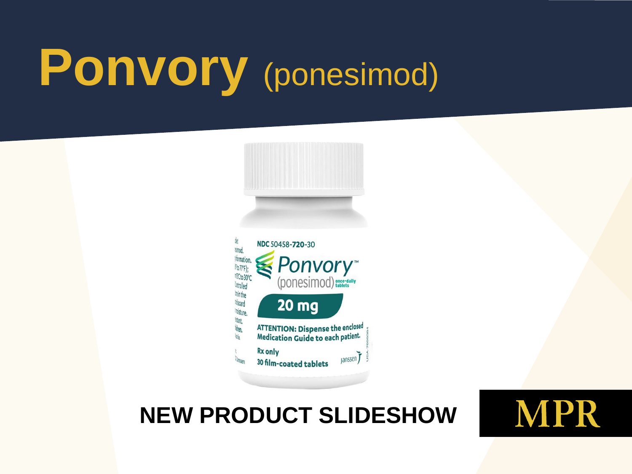# **Ponvory** (ponesimod)



#### **NEW PRODUCT SLIDESHOW**

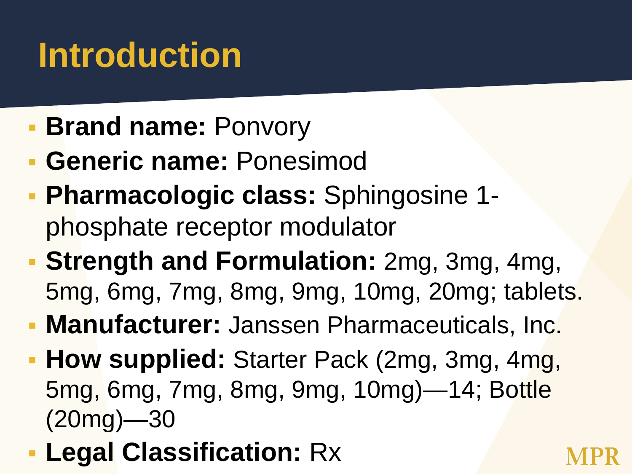### **Introduction**

- **Brand name: Ponvory**
- **Generic name:** Ponesimod
- **Pharmacologic class:** Sphingosine 1 phosphate receptor modulator
- **Strength and Formulation:** 2mg, 3mg, 4mg, 5mg, 6mg, 7mg, 8mg, 9mg, 10mg, 20mg; tablets.
- **Manufacturer:** Janssen Pharmaceuticals, Inc.
- **How supplied:** Starter Pack (2mg, 3mg, 4mg, 5mg, 6mg, 7mg, 8mg, 9mg, 10mg)—14; Bottle (20mg)—30
- **Legal Classification:** Rx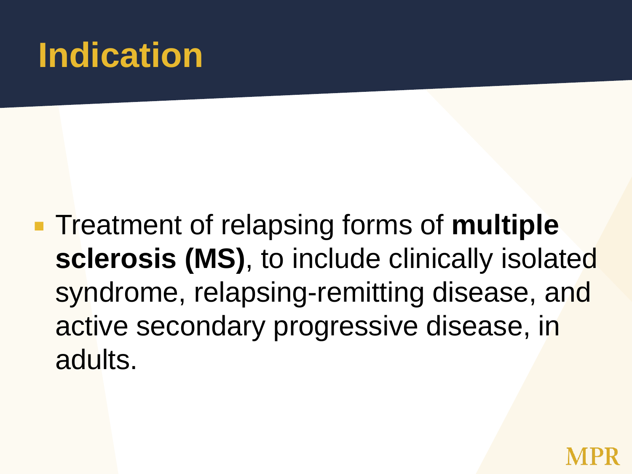### **Indication**

**Treatment of relapsing forms of multiple sclerosis (MS)**, to include clinically isolated syndrome, relapsing-remitting disease, and active secondary progressive disease, in adults.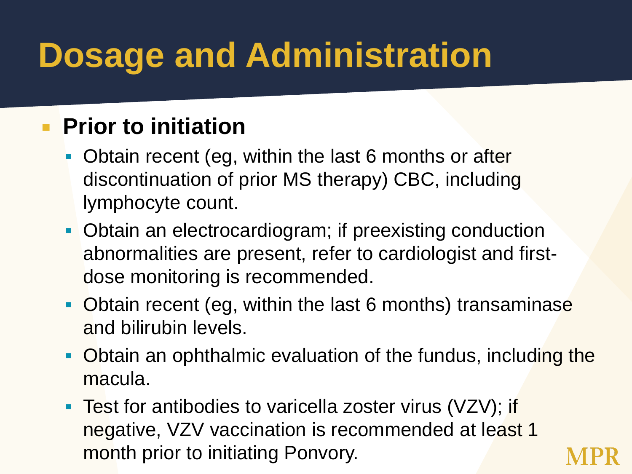### **Dosage and Administration**

#### **Prior to initiation**

- Obtain recent (eg, within the last 6 months or after discontinuation of prior MS therapy) CBC, including lymphocyte count.
- **Obtain an electrocardiogram; if preexisting conduction** abnormalities are present, refer to cardiologist and firstdose monitoring is recommended.
- Obtain recent (eg, within the last 6 months) transaminase and bilirubin levels.
- **D** Obtain an ophthalmic evaluation of the fundus, including the macula.
- **Test for antibodies to varicella zoster virus (VZV); if** negative, VZV vaccination is recommended at least 1 month prior to initiating Ponvory.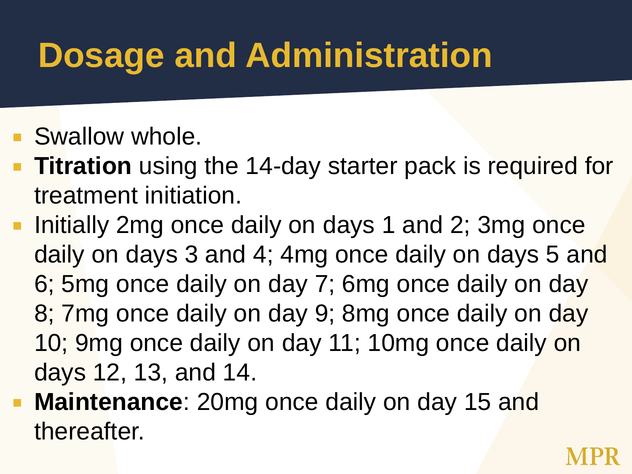### **Dosage and Administration**

- **Swallow whole.**
- **Titration** using the 14-day starter pack is required for treatment initiation.
- **Initially 2mg once daily on days 1 and 2; 3mg once** daily on days 3 and 4; 4mg once daily on days 5 and 6; 5mg once daily on day 7; 6mg once daily on day 8; 7mg once daily on day 9; 8mg once daily on day 10; 9mg once daily on day 11; 10mg once daily on days 12, 13, and 14.
- **Maintenance**: 20mg once daily on day 15 and thereafter.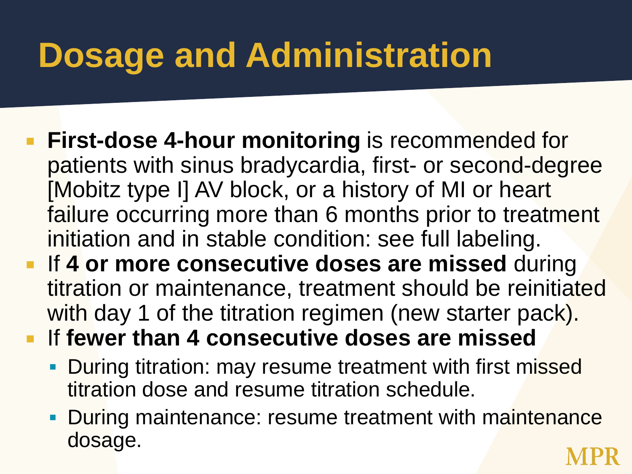## **Dosage and Administration**

- **First-dose 4-hour monitoring** is recommended for patients with sinus bradycardia, first- or second-degree [Mobitz type I] AV block, or a history of MI or heart failure occurring more than 6 months prior to treatment initiation and in stable condition: see full labeling.
- **If 4 or more consecutive doses are missed** during titration or maintenance, treatment should be reinitiated with day 1 of the titration regimen (new starter pack).
- **If fewer than 4 consecutive doses are missed** 
	- During titration: may resume treatment with first missed titration dose and resume titration schedule.
	- During maintenance: resume treatment with maintenance dosage.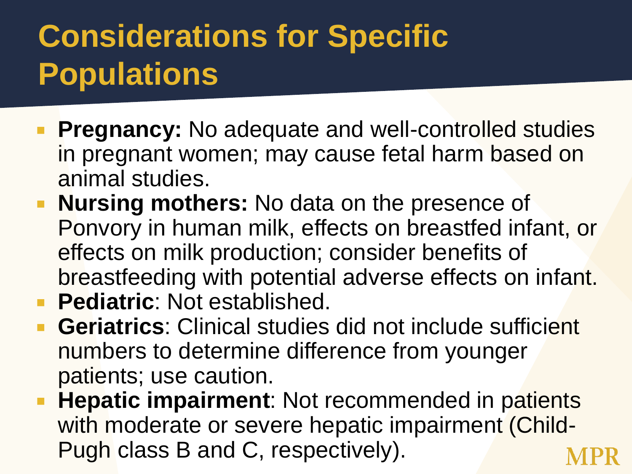#### **Considerations for Specific Populations**

- **Pregnancy:** No adequate and well-controlled studies in pregnant women; may cause fetal harm based on animal studies.
- **Nursing mothers:** No data on the presence of Ponvory in human milk, effects on breastfed infant, or effects on milk production; consider benefits of breastfeeding with potential adverse effects on infant.
- **Pediatric: Not established.**
- **Geriatrics:** Clinical studies did not include sufficient numbers to determine difference from younger patients; use caution.
- **Hepatic impairment:** Not recommended in patients with moderate or severe hepatic impairment (Child-Pugh class B and C, respectively).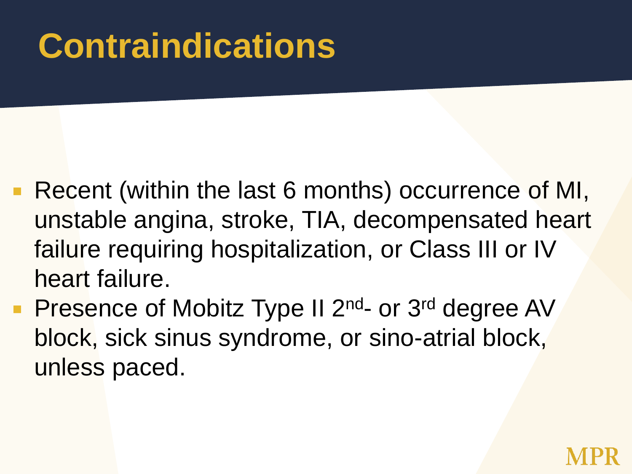## **Contraindications**

- Recent (within the last 6 months) occurrence of MI, unstable angina, stroke, TIA, decompensated heart failure requiring hospitalization, or Class III or IV heart failure.
- **Presence of Mobitz Type II 2<sup>nd</sup>- or 3<sup>rd</sup> degree AV** block, sick sinus syndrome, or sino-atrial block, unless paced.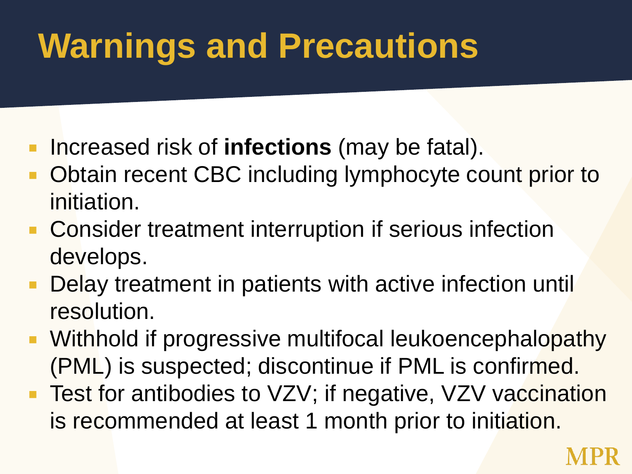- **Increased risk of infections** (may be fatal).
- **D** Obtain recent CBC including lymphocyte count prior to initiation.
- Consider treatment interruption if serious infection develops.
- Delay treatment in patients with active infection until resolution.
- Withhold if progressive multifocal leukoencephalopathy (PML) is suspected; discontinue if PML is confirmed.
- Test for antibodies to VZV; if negative, VZV vaccination is recommended at least 1 month prior to initiation.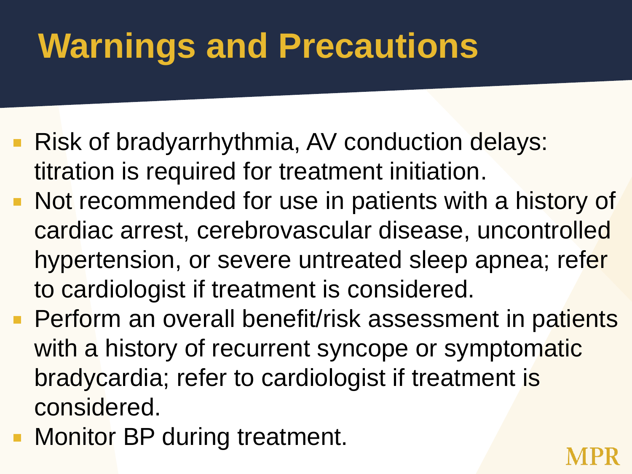- **Risk of bradyarrhythmia, AV conduction delays:** titration is required for treatment initiation.
- Not recommended for use in patients with a history of cardiac arrest, cerebrovascular disease, uncontrolled hypertension, or severe untreated sleep apnea; refer to cardiologist if treatment is considered.
- **Perform an overall benefit/risk assessment in patients** with a history of recurrent syncope or symptomatic bradycardia; refer to cardiologist if treatment is considered.
- **Monitor BP during treatment.**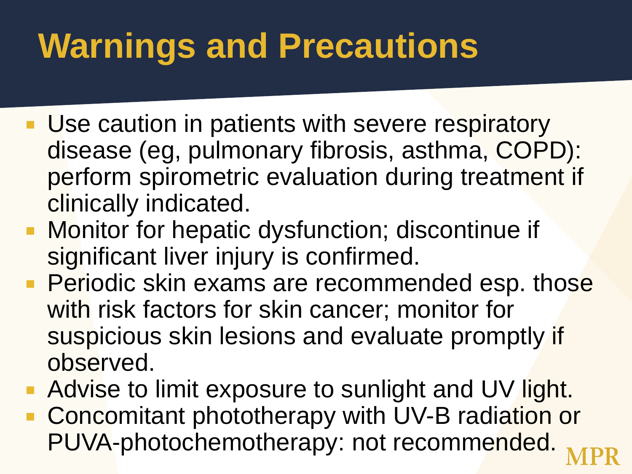- **Use caution in patients with severe respiratory** disease (eg, pulmonary fibrosis, asthma, COPD): perform spirometric evaluation during treatment if clinically indicated.
- **Monitor for hepatic dysfunction; discontinue if** significant liver injury is confirmed.
- **Periodic skin exams are recommended esp. those** with risk factors for skin cancer; monitor for suspicious skin lesions and evaluate promptly if observed.
- Advise to limit exposure to sunlight and UV light.
- Concomitant phototherapy with UV-B radiation or PUVA-photochemotherapy: not recommended.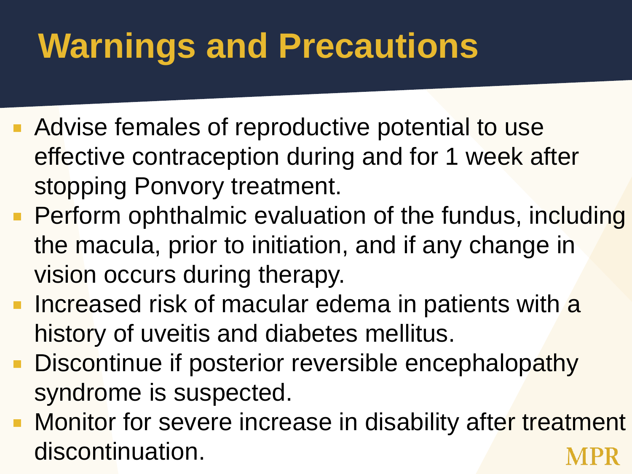- Advise females of reproductive potential to use effective contraception during and for 1 week after stopping Ponvory treatment.
- **Perform ophthalmic evaluation of the fundus, including** the macula, prior to initiation, and if any change in vision occurs during therapy.
- **Increased risk of macular edema in patients with a** history of uveitis and diabetes mellitus.
- Discontinue if posterior reversible encephalopathy syndrome is suspected.
- **Nonitor for severe increase in disability after treatment** discontinuation.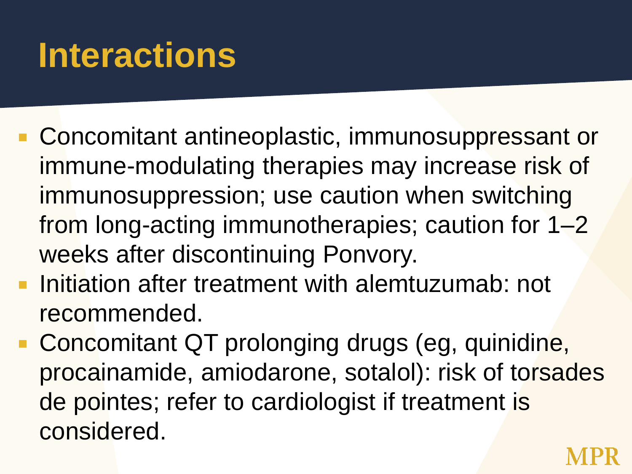#### **Interactions**

- Concomitant antineoplastic, immunosuppressant or immune-modulating therapies may increase risk of immunosuppression; use caution when switching from long-acting immunotherapies; caution for 1–2 weeks after discontinuing Ponvory.
- **Initiation after treatment with alemtuzumab: not** recommended.
- Concomitant QT prolonging drugs (eg, quinidine, procainamide, amiodarone, sotalol): risk of torsades de pointes; refer to cardiologist if treatment is considered.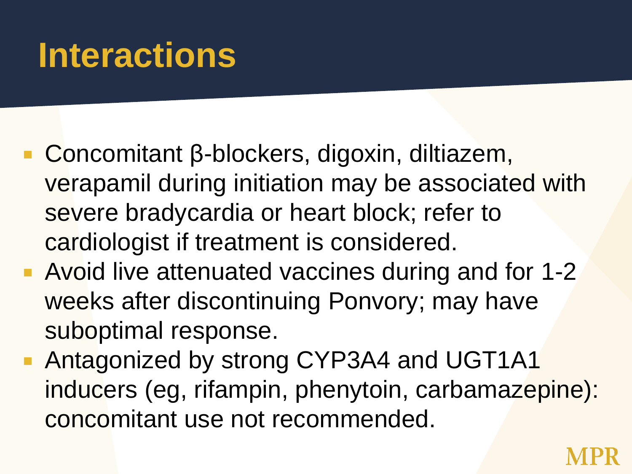#### **Interactions**

- Concomitant β-blockers, digoxin, diltiazem, verapamil during initiation may be associated with severe bradycardia or heart block; refer to cardiologist if treatment is considered.
- Avoid live attenuated vaccines during and for 1-2 weeks after discontinuing Ponvory; may have suboptimal response.
- **Antagonized by strong CYP3A4 and UGT1A1** inducers (eg, rifampin, phenytoin, carbamazepine): concomitant use not recommended.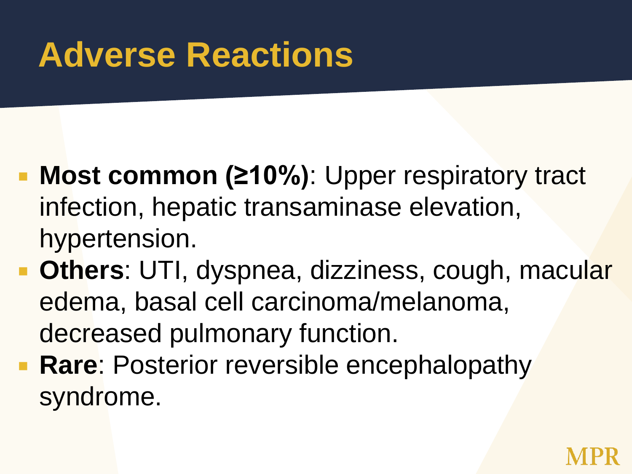#### **Adverse Reactions**

- **Most common (210%)**: Upper respiratory tract infection, hepatic transaminase elevation, hypertension.
- **Dthers: UTI, dyspnea, dizziness, cough, macular** edema, basal cell carcinoma/melanoma, decreased pulmonary function.
- **Rare:** Posterior reversible encephalopathy syndrome.

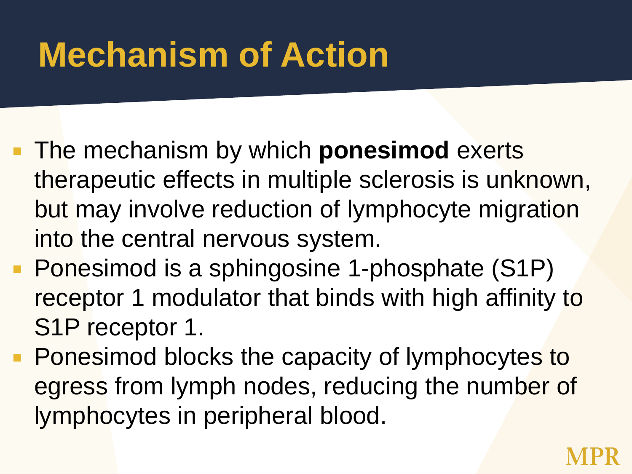# **Mechanism of Action**

- **The mechanism by which ponesimod exerts** therapeutic effects in multiple sclerosis is unknown, but may involve reduction of lymphocyte migration into the central nervous system.
- **Ponesimod is a sphingosine 1-phosphate (S1P)** receptor 1 modulator that binds with high affinity to S1P receptor 1.
- **Ponesimod blocks the capacity of lymphocytes to** egress from lymph nodes, reducing the number of lymphocytes in peripheral blood.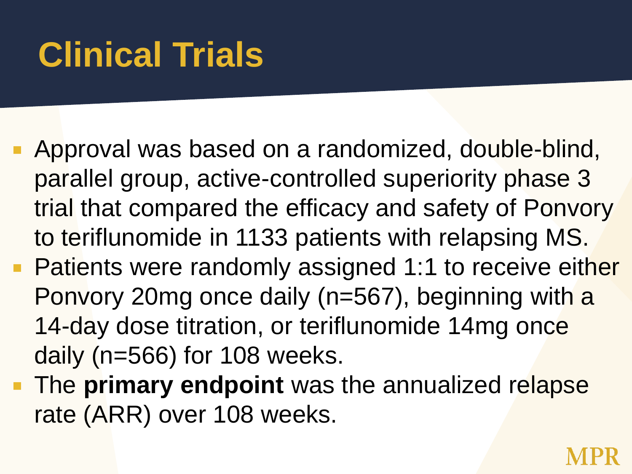# **Clinical Trials**

- **Approval was based on a randomized, double-blind,** parallel group, active-controlled superiority phase 3 trial that compared the efficacy and safety of Ponvory to teriflunomide in 1133 patients with relapsing MS.
- **Patients were randomly assigned 1:1 to receive either** Ponvory 20mg once daily (n=567), beginning with a 14-day dose titration, or teriflunomide 14mg once daily (n=566) for 108 weeks.
- **The primary endpoint** was the annualized relapse rate (ARR) over 108 weeks.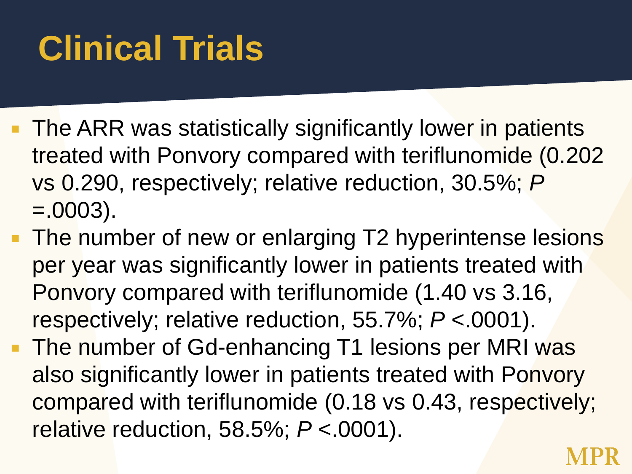# **Clinical Trials**

- **The ARR was statistically significantly lower in patients** treated with Ponvory compared with teriflunomide (0.202 vs 0.290, respectively; relative reduction, 30.5%; *P*  $= 0.0003$ .
- The number of new or enlarging T2 hyperintense lesions per year was significantly lower in patients treated with Ponvory compared with teriflunomide (1.40 vs 3.16, respectively; relative reduction, 55.7%; *P* <.0001).
- The number of Gd-enhancing T1 lesions per MRI was also significantly lower in patients treated with Ponvory compared with teriflunomide (0.18 vs 0.43, respectively; relative reduction, 58.5%; *P* <.0001).